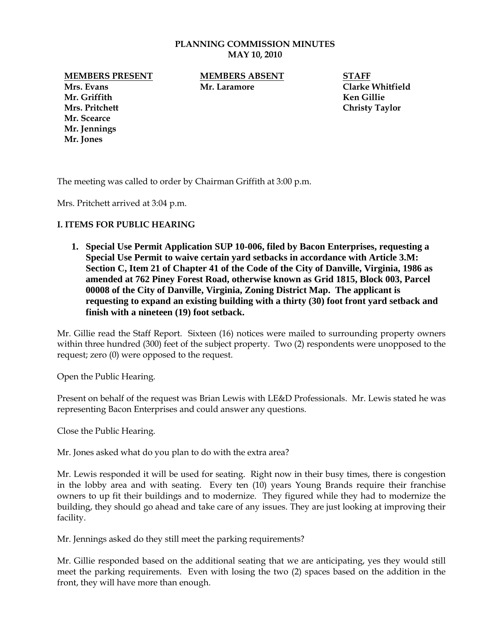#### **PLANNING COMMISSION MINUTES MAY 10, 2010**

**MEMBERS PRESENT MEMBERS ABSENT STAFF**

**Mr. Scearce Mr. Jennings Mr. Jones**

**Mrs. Evans Mr. Laramore Clarke Whitfield**

**Mr. Griffith Ken Gillie Mrs. Pritchett Christy Taylor**

The meeting was called to order by Chairman Griffith at 3:00 p.m.

Mrs. Pritchett arrived at 3:04 p.m.

## **I. ITEMS FOR PUBLIC HEARING**

**1. Special Use Permit Application SUP 10-006, filed by Bacon Enterprises, requesting a Special Use Permit to waive certain yard setbacks in accordance with Article 3.M: Section C, Item 21 of Chapter 41 of the Code of the City of Danville, Virginia, 1986 as amended at 762 Piney Forest Road, otherwise known as Grid 1815, Block 003, Parcel 00008 of the City of Danville, Virginia, Zoning District Map. The applicant is requesting to expand an existing building with a thirty (30) foot front yard setback and finish with a nineteen (19) foot setback.**

Mr. Gillie read the Staff Report. Sixteen (16) notices were mailed to surrounding property owners within three hundred (300) feet of the subject property. Two (2) respondents were unopposed to the request; zero (0) were opposed to the request.

Open the Public Hearing.

Present on behalf of the request was Brian Lewis with LE&D Professionals. Mr. Lewis stated he was representing Bacon Enterprises and could answer any questions.

Close the Public Hearing.

Mr. Jones asked what do you plan to do with the extra area?

Mr. Lewis responded it will be used for seating. Right now in their busy times, there is congestion in the lobby area and with seating. Every ten (10) years Young Brands require their franchise owners to up fit their buildings and to modernize. They figured while they had to modernize the building, they should go ahead and take care of any issues. They are just looking at improving their facility.

Mr. Jennings asked do they still meet the parking requirements?

Mr. Gillie responded based on the additional seating that we are anticipating, yes they would still meet the parking requirements. Even with losing the two (2) spaces based on the addition in the front, they will have more than enough.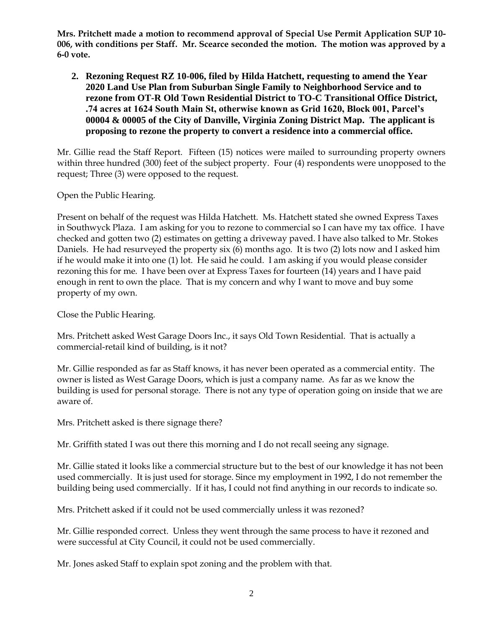**Mrs. Pritchett made a motion to recommend approval of Special Use Permit Application SUP 10- 006, with conditions per Staff. Mr. Scearce seconded the motion. The motion was approved by a 6-0 vote.** 

**2. Rezoning Request RZ 10-006, filed by Hilda Hatchett, requesting to amend the Year 2020 Land Use Plan from Suburban Single Family to Neighborhood Service and to rezone from OT-R Old Town Residential District to TO-C Transitional Office District, .74 acres at 1624 South Main St, otherwise known as Grid 1620, Block 001, Parcel's 00004 & 00005 of the City of Danville, Virginia Zoning District Map. The applicant is proposing to rezone the property to convert a residence into a commercial office.**

Mr. Gillie read the Staff Report. Fifteen (15) notices were mailed to surrounding property owners within three hundred (300) feet of the subject property. Four (4) respondents were unopposed to the request; Three (3) were opposed to the request.

Open the Public Hearing.

Present on behalf of the request was Hilda Hatchett. Ms. Hatchett stated she owned Express Taxes in Southwyck Plaza. I am asking for you to rezone to commercial so I can have my tax office. I have checked and gotten two (2) estimates on getting a driveway paved. I have also talked to Mr. Stokes Daniels. He had resurveyed the property six (6) months ago. It is two (2) lots now and I asked him if he would make it into one (1) lot. He said he could. I am asking if you would please consider rezoning this for me. I have been over at Express Taxes for fourteen (14) years and I have paid enough in rent to own the place. That is my concern and why I want to move and buy some property of my own.

Close the Public Hearing.

Mrs. Pritchett asked West Garage Doors Inc., it says Old Town Residential. That is actually a commercial-retail kind of building, is it not?

Mr. Gillie responded as far as Staff knows, it has never been operated as a commercial entity. The owner is listed as West Garage Doors, which is just a company name. As far as we know the building is used for personal storage. There is not any type of operation going on inside that we are aware of.

Mrs. Pritchett asked is there signage there?

Mr. Griffith stated I was out there this morning and I do not recall seeing any signage.

Mr. Gillie stated it looks like a commercial structure but to the best of our knowledge it has not been used commercially. It is just used for storage. Since my employment in 1992, I do not remember the building being used commercially. If it has, I could not find anything in our records to indicate so.

Mrs. Pritchett asked if it could not be used commercially unless it was rezoned?

Mr. Gillie responded correct. Unless they went through the same process to have it rezoned and were successful at City Council, it could not be used commercially.

Mr. Jones asked Staff to explain spot zoning and the problem with that.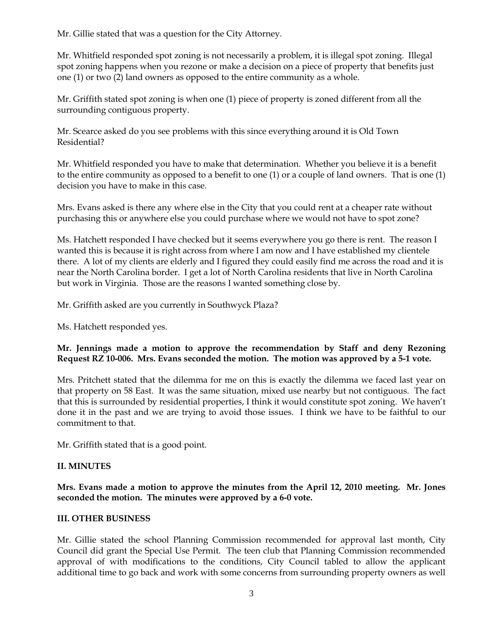Mr. Gillie stated that was a question for the City Attorney.

Mr. Whitfield responded spot zoning is not necessarily a problem, it is illegal spot zoning. Illegal spot zoning happens when you rezone or make a decision on a piece of property that benefits just one (1) or two (2) land owners as opposed to the entire community as a whole.

Mr. Griffith stated spot zoning is when one (1) piece of property is zoned different from all the surrounding contiguous property.

Mr. Scearce asked do you see problems with this since everything around it is Old Town Residential?

Mr. Whitfield responded you have to make that determination. Whether you believe it is a benefit to the entire community as opposed to a benefit to one (1) or a couple of land owners. That is one (1) decision you have to make in this case.

Mrs. Evans asked is there any where else in the City that you could rent at a cheaper rate without purchasing this or anywhere else you could purchase where we would not have to spot zone?

Ms. Hatchett responded I have checked but it seems everywhere you go there is rent. The reason I wanted this is because it is right across from where I am now and I have established my clientele there. A lot of my clients are elderly and I figured they could easily find me across the road and it is near the North Carolina border. I get a lot of North Carolina residents that live in North Carolina but work in Virginia. Those are the reasons I wanted something close by.

Mr. Griffith asked are you currently in Southwyck Plaza?

Ms. Hatchett responded yes.

# **Mr. Jennings made a motion to approve the recommendation by Staff and deny Rezoning Request RZ 10-006. Mrs. Evans seconded the motion. The motion was approved by a 5-1 vote.**

Mrs. Pritchett stated that the dilemma for me on this is exactly the dilemma we faced last year on that property on 58 East. It was the same situation, mixed use nearby but not contiguous. The fact that this is surrounded by residential properties, I think it would constitute spot zoning. We haven't done it in the past and we are trying to avoid those issues. I think we have to be faithful to our commitment to that.

Mr. Griffith stated that is a good point.

# **II. MINUTES**

**Mrs. Evans made a motion to approve the minutes from the April 12, 2010 meeting. Mr. Jones seconded the motion. The minutes were approved by a 6-0 vote.**

## **III. OTHER BUSINESS**

Mr. Gillie stated the school Planning Commission recommended for approval last month, City Council did grant the Special Use Permit. The teen club that Planning Commission recommended approval of with modifications to the conditions, City Council tabled to allow the applicant additional time to go back and work with some concerns from surrounding property owners as well